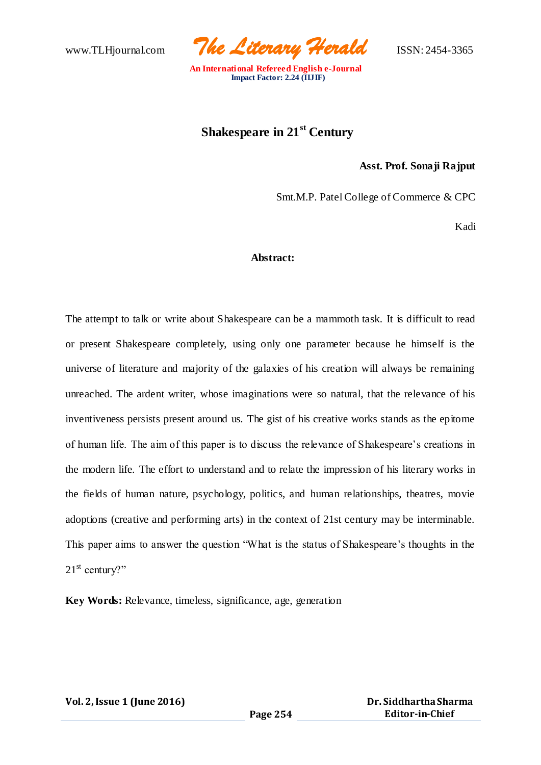www.TLHjournal.com *The Literary Herald*ISSN: 2454-3365

## **Shakespeare in 21st Century**

#### **Asst. Prof. Sonaji Rajput**

Smt.M.P. Patel College of Commerce & CPC

Kadi

#### **Abstract:**

The attempt to talk or write about Shakespeare can be a mammoth task. It is difficult to read or present Shakespeare completely, using only one parameter because he himself is the universe of literature and majority of the galaxies of his creation will always be remaining unreached. The ardent writer, whose imaginations were so natural, that the relevance of his inventiveness persists present around us. The gist of his creative works stands as the epitome of human life. The aim of this paper is to discuss the relevance of Shakespeare's creations in the modern life. The effort to understand and to relate the impression of his literary works in the fields of human nature, psychology, politics, and human relationships, theatres, movie adoptions (creative and performing arts) in the context of 21st century may be interminable. This paper aims to answer the question "What is the status of Shakespeare's thoughts in the  $21<sup>st</sup>$  century?"

**Key Words:** Relevance, timeless, significance, age, generation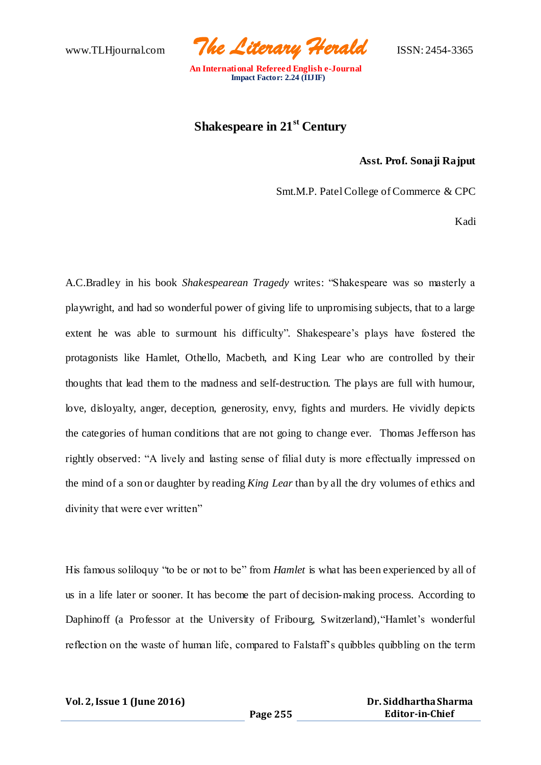

# **Shakespeare in 21st Century**

#### **Asst. Prof. Sonaji Rajput**

Smt.M.P. Patel College of Commerce & CPC

Kadi

A.C.Bradley in his book *Shakespearean Tragedy* writes: "Shakespeare was so masterly a playwright, and had so wonderful power of giving life to unpromising subjects, that to a large extent he was able to surmount his difficulty". Shakespeare's plays have fostered the protagonists like Hamlet, Othello, Macbeth, and King Lear who are controlled by their thoughts that lead them to the madness and self-destruction. The plays are full with humour, love, disloyalty, anger, deception, generosity, envy, fights and murders. He vividly depicts the categories of human conditions that are not going to change ever. Thomas Jefferson has rightly observed: "A lively and lasting sense of filial duty is more effectually impressed on the mind of a son or daughter by reading *King Lear* than by all the dry volumes of ethics and divinity that were ever written"

His famous soliloquy "to be or not to be" from *Hamlet* is what has been experienced by all of us in a life later or sooner. It has become the part of decision-making process. According to Daphinoff (a Professor at the University of Fribourg, Switzerland),"Hamlet's wonderful reflection on the waste of human life, compared to Falstaff's quibbles quibbling on the term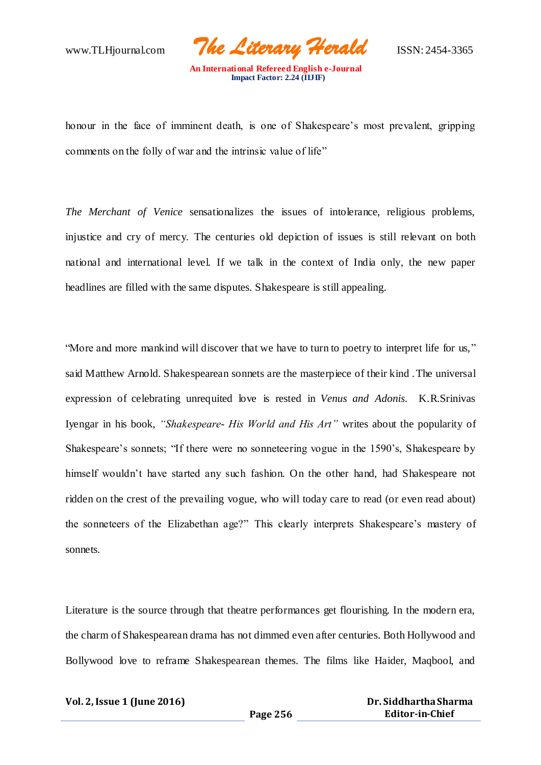www.TLHjournal.com *The Literary Herald*ISSN: 2454-3365

honour in the face of imminent death, is one of Shakespeare's most prevalent, gripping comments on the folly of war and the intrinsic value of life"

*The Merchant of Venice* sensationalizes the issues of intolerance, religious problems, injustice and cry of mercy. The centuries old depiction of issues is still relevant on both national and international level. If we talk in the context of India only, the new paper headlines are filled with the same disputes. Shakespeare is still appealing.

"More and more mankind will discover that we have to turn to poetry to interpret life for us," said Matthew Arnold. Shakespearean sonnets are the masterpiece of their kind .The universal expression of celebrating unrequited love is rested in *Venus and Adonis.* K.R.Srinivas Iyengar in his book, *"Shakespeare- His World and His Art"* writes about the popularity of Shakespeare's sonnets; "If there were no sonneteering vogue in the 1590's, Shakespeare by himself wouldn't have started any such fashion. On the other hand, had Shakespeare not ridden on the crest of the prevailing vogue, who will today care to read (or even read about) the sonneteers of the Elizabethan age?" This clearly interprets Shakespeare's mastery of sonnets.

Literature is the source through that theatre performances get flourishing. In the modern era, the charm of Shakespearean drama has not dimmed even after centuries. Both Hollywood and Bollywood love to reframe Shakespearean themes. The films like Haider, Maqbool, and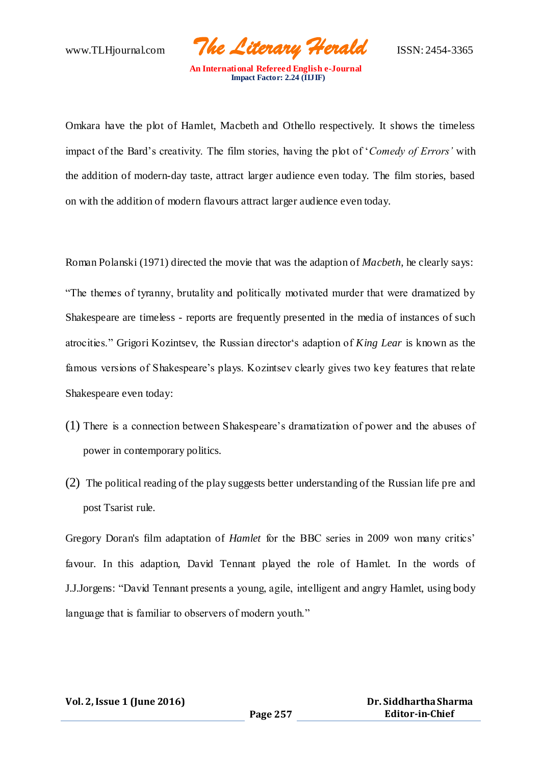www.TLHjournal.com *The Literary Herald*ISSN: 2454-3365

Omkara have the plot of Hamlet, Macbeth and Othello respectively. It shows the timeless impact of the Bard's creativity. The film stories, having the plot of '*Comedy of Errors'* with the addition of modern-day taste, attract larger audience even today. The film stories, based on with the addition of modern flavours attract larger audience even today.

Roman Polanski (1971) directed the movie that was the adaption of *Macbeth*, he clearly says:

"The themes of tyranny, brutality and politically motivated murder that were dramatized by Shakespeare are timeless - reports are frequently presented in the media of instances of such atrocities." Grigori Kozintsev, the Russian director's adaption of *King Lear* is known as the famous versions of Shakespeare's plays. Kozintsev clearly gives two key features that relate Shakespeare even today:

- (1) There is a connection between Shakespeare's dramatization of power and the abuses of power in contemporary politics.
- (2) The political reading of the play suggests better understanding of the Russian life pre and post Tsarist rule.

Gregory Doran's film adaptation of *Hamlet* for the BBC series in 2009 won many critics' favour. In this adaption, David Tennant played the role of Hamlet. In the words of J.J.Jorgens: "David Tennant presents a young, agile, intelligent and angry Hamlet, using body language that is familiar to observers of modern youth."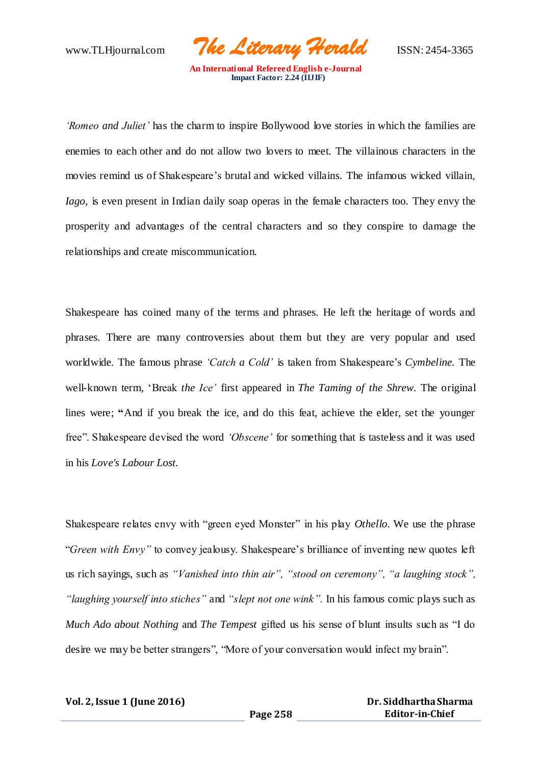www.TLHjournal.com *The Literary Herald*ISSN: 2454-3365

*'Romeo and Juliet'* has the charm to inspire Bollywood love stories in which the families are enemies to each other and do not allow two lovers to meet. The villainous characters in the movies remind us of Shakespeare's brutal and wicked villains. The infamous wicked villain, *Iago*, is even present in Indian daily soap operas in the female characters too. They envy the prosperity and advantages of the central characters and so they conspire to damage the relationships and create miscommunication.

Shakespeare has coined many of the terms and phrases. He left the heritage of words and phrases. There are many controversies about them but they are very popular and used worldwide. The famous phrase *'Catch a Cold'* is taken from Shakespeare's *Cymbeline.* The well-known term, 'Break *the Ice'* first appeared in *The Taming of the Shrew.* The original lines were; **"**And if you break the ice, and do this feat, achieve the elder, set the younger free". Shakespeare devised the word *'Obscene'* for something that is tasteless and it was used in his *Love's Labour Lost.* 

Shakespeare relates envy with "green eyed Monster" in his play *Othello*. We use the phrase "*Green with Envy"* to convey jealousy. Shakespeare's brilliance of inventing new quotes left us rich sayings, such as *"Vanished into thin air", "stood on ceremony", "a laughing stock", "laughing yourself into stiches"* and *"slept not one wink".* In his famous comic plays such as *Much Ado about Nothing* and *The Tempest* gifted us his sense of blunt insults such as "I do desire we may be better strangers", "More of your conversation would infect my brain".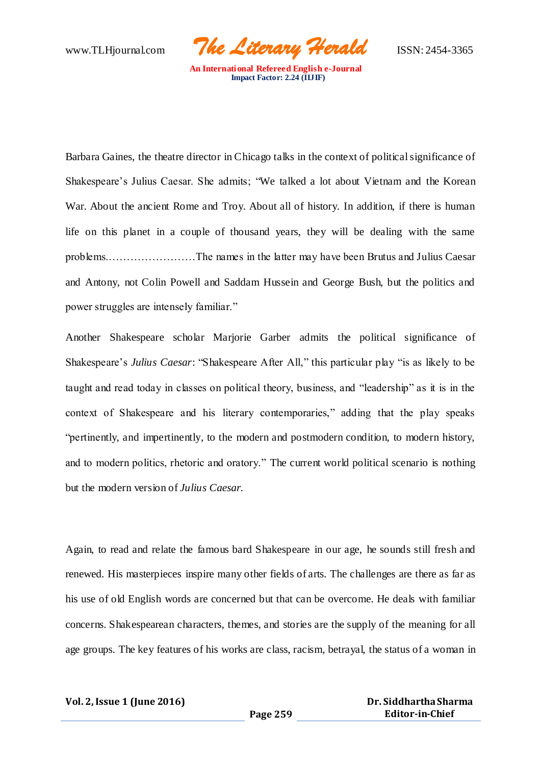www.TLHjournal.com *The Literary Herald*ISSN: 2454-3365

Barbara Gaines, the theatre director in Chicago talks in the context of political significance of Shakespeare's Julius Caesar. She admits; "We talked a lot about Vietnam and the Korean War. About the ancient Rome and Troy. About all of history. In addition, if there is human life on this planet in a couple of thousand years, they will be dealing with the same problems.……………………The names in the latter may have been Brutus and Julius Caesar and Antony, not Colin Powell and Saddam Hussein and George Bush, but the politics and power struggles are intensely familiar."

Another Shakespeare scholar Marjorie Garber admits the political significance of Shakespeare's *Julius Caesar*: "Shakespeare After All," this particular play "is as likely to be taught and read today in classes on political theory, business, and "leadership" as it is in the context of Shakespeare and his literary contemporaries," adding that the play speaks "pertinently, and impertinently, to the modern and postmodern condition, to modern history, and to modern politics, rhetoric and oratory." The current world political scenario is nothing but the modern version of *Julius Caesar.*

Again, to read and relate the famous bard Shakespeare in our age, he sounds still fresh and renewed. His masterpieces inspire many other fields of arts. The challenges are there as far as his use of old English words are concerned but that can be overcome. He deals with familiar concerns. Shakespearean characters, themes, and stories are the supply of the meaning for all age groups. The key features of his works are class, racism, betrayal, the status of a woman in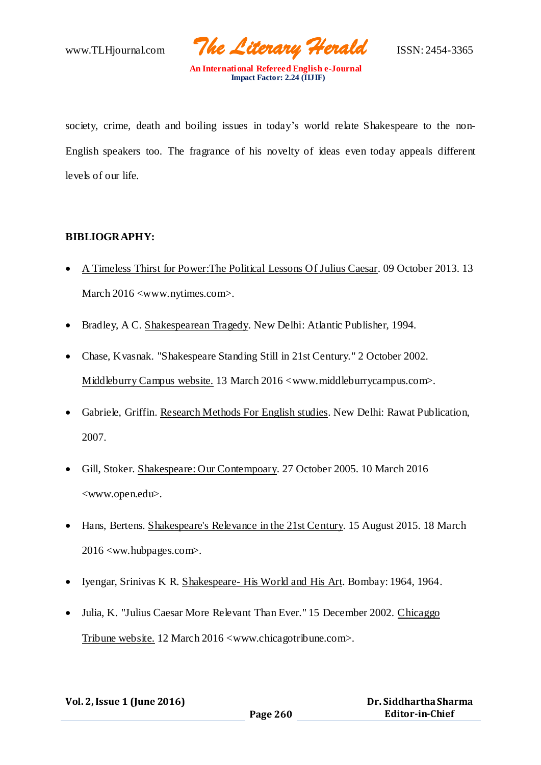www.TLHjournal.com *The Literary Herald*ISSN: 2454-3365

society, crime, death and boiling issues in today's world relate Shakespeare to the non-English speakers too. The fragrance of his novelty of ideas even today appeals different levels of our life.

### **BIBLIOGRAPHY:**

- A Timeless Thirst for Power:The Political Lessons Of Julius Caesar. 09 October 2013. 13 March 2016 <www.nytimes.com>.
- Bradley, A C. Shakespearean Tragedy. New Delhi: Atlantic Publisher, 1994.
- Chase, Kvasnak. "Shakespeare Standing Still in 21st Century." 2 October 2002. Middleburry Campus website. 13 March 2016 <www.middleburrycampus.com>.
- Gabriele, Griffin. Research Methods For English studies. New Delhi: Rawat Publication, 2007.
- Gill, Stoker. Shakespeare: Our Contempoary. 27 October 2005. 10 March 2016 <www.open.edu>.
- Hans, Bertens. Shakespeare's Relevance in the 21st Century. 15 August 2015. 18 March 2016 <ww.hubpages.com>.
- Iyengar, Srinivas K R. Shakespeare- His World and His Art. Bombay: 1964, 1964.
- Julia, K. "Julius Caesar More Relevant Than Ever." 15 December 2002. Chicaggo Tribune website. 12 March 2016 <www.chicagotribune.com>.